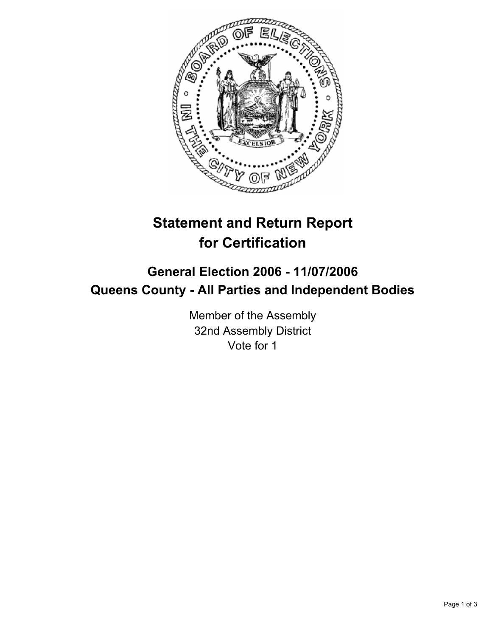

## **Statement and Return Report for Certification**

## **General Election 2006 - 11/07/2006 Queens County - All Parties and Independent Bodies**

Member of the Assembly 32nd Assembly District Vote for 1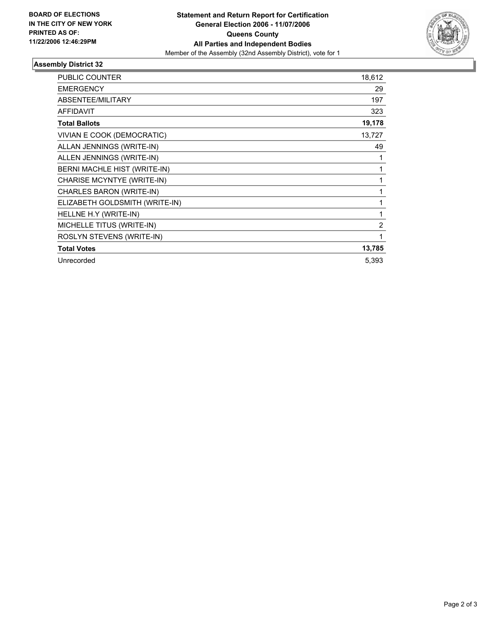

## **Assembly District 32**

| <b>PUBLIC COUNTER</b>          | 18,612 |
|--------------------------------|--------|
| <b>EMERGENCY</b>               | 29     |
| ABSENTEE/MILITARY              | 197    |
| <b>AFFIDAVIT</b>               | 323    |
| <b>Total Ballots</b>           | 19,178 |
| VIVIAN E COOK (DEMOCRATIC)     | 13,727 |
| ALLAN JENNINGS (WRITE-IN)      | 49     |
| ALLEN JENNINGS (WRITE-IN)      |        |
| BERNI MACHLE HIST (WRITE-IN)   |        |
| CHARISE MCYNTYE (WRITE-IN)     |        |
| CHARLES BARON (WRITE-IN)       |        |
| ELIZABETH GOLDSMITH (WRITE-IN) |        |
| HELLNE H.Y (WRITE-IN)          |        |
| MICHELLE TITUS (WRITE-IN)      | 2      |
| ROSLYN STEVENS (WRITE-IN)      |        |
| <b>Total Votes</b>             | 13,785 |
| Unrecorded                     | 5,393  |